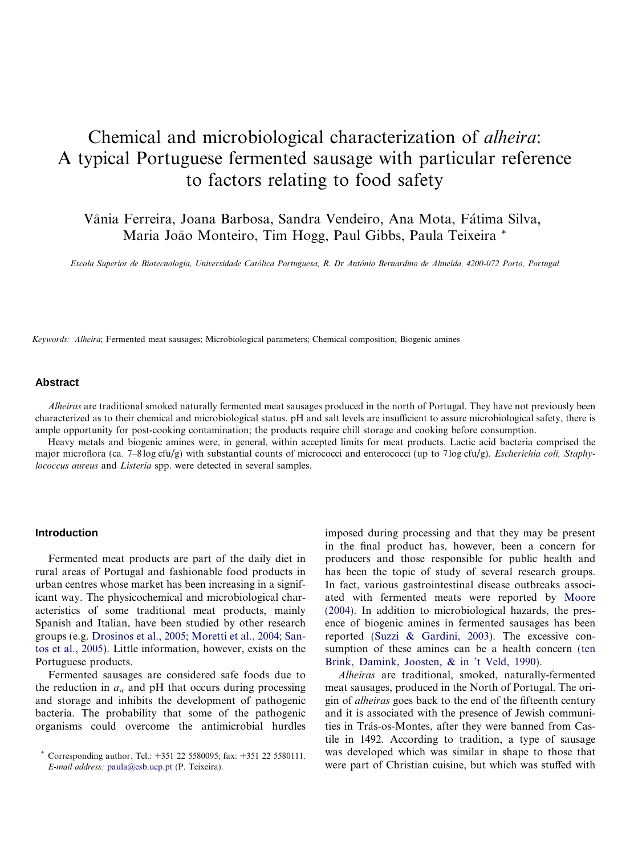# Chemical and microbiological characterization of alheira: A typical Portuguese fermented sausage with particular reference to factors relating to food safety

Vânia Ferreira. Joana Barbosa, Sandra Vendeiro, Ana Mota, Fátima Silva, Maria João Monteiro, Tim Hogg, Paul Gibbs, Paula Teixeira \*

Escola Superior de Biotecnologia, Universidade Católica Portuguesa, R. Dr António Bernardino de Almeida, 4200-072 Porto, Portugal

Keywords: Alheira; Fermented meat sausages; Microbiological parameters; Chemical composition; Biogenic amines

# **Abstract**

Alheiras are traditional smoked naturally fermented meat sausages produced in the north of Portugal. They have not previously been characterized as to their chemical and microbiological status. pH and salt levels are insufficient to assure microbiological safety, there is ample opportunity for post-cooking contamination; the products require chill storage and cooking before consumption.

Heavy metals and biogenic amines were, in general, within accepted limits for meat products. Lactic acid bacteria comprised the major microflora (ca. 7–8log cfu/g) with substantial counts of micrococci and enterococci (up to 7log cfu/g). *Escherichia coli, Staphy*lococcus aureus and Listeria spp. were detected in several samples.

# **Introduction**

Fermented meat products are part of the daily diet in rural areas of Portugal and fashionable food products in urban centres whose market has been increasing in a significant way. The physicochemical and microbiological characteristics of some traditional meat products, mainly Spanish and Italian, have been studied by other research groups (e.g. [Drosinos et al., 2005; Moretti et al., 2004; San](#page-5-0)[tos et al., 2005\)](#page-5-0). Little information, however, exists on the Portuguese products.

Fermented sausages are considered safe foods due to the reduction in  $a_w$  and pH that occurs during processing and storage and inhibits the development of pathogenic bacteria. The probability that some of the pathogenic organisms could overcome the antimicrobial hurdles imposed during processing and that they may be present in the final product has, however, been a concern for producers and those responsible for public health and has been the topic of study of several research groups. In fact, various gastrointestinal disease outbreaks associated with fermented meats were reported by [Moore](#page-5-0) [\(2004\)](#page-5-0). In addition to microbiological hazards, the presence of biogenic amines in fermented sausages has been reported ([Suzzi & Gardini, 2003\)](#page-5-0). The excessive consumption of these amines can be a health concern ([ten](#page-5-0) [Brink, Damink, Joosten, & in 't Veld, 1990](#page-5-0)).

Alheiras are traditional, smoked, naturally-fermented meat sausages, produced in the North of Portugal. The origin of alheiras goes back to the end of the fifteenth century and it is associated with the presence of Jewish communities in Trás-os-Montes, after they were banned from Castile in 1492. According to tradition, a type of sausage was developed which was similar in shape to those that were part of Christian cuisine, but which was stuffed with

<sup>\*</sup> Corresponding author. Tel.:  $+351$  22 5580095; fax:  $+351$  22 5580111. E-mail address: [paula@esb.ucp.pt](mailto:paula@esb.ucp.pt) (P. Teixeira).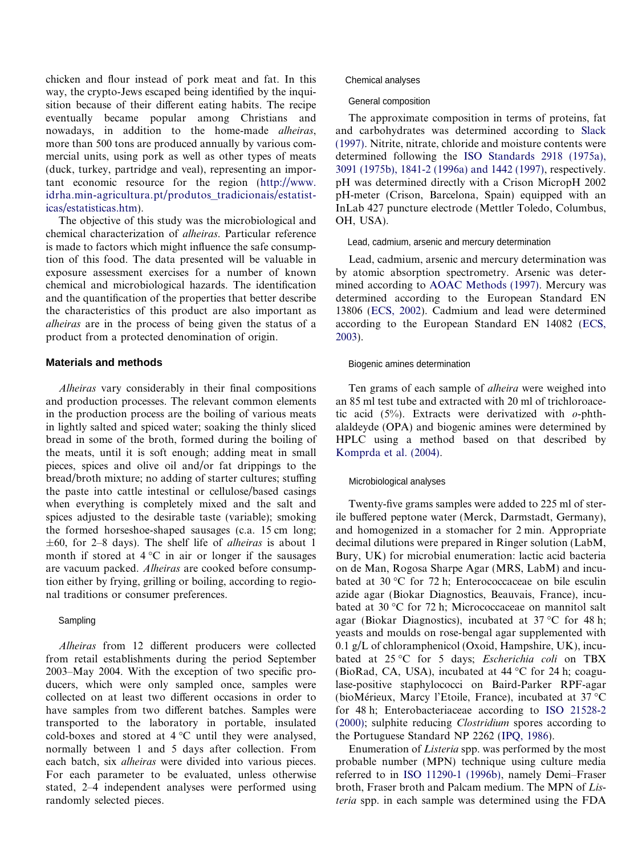chicken and flour instead of pork meat and fat. In this way, the crypto-Jews escaped being identified by the inquisition because of their different eating habits. The recipe eventually became popular among Christians and nowadays, in addition to the home-made *alheiras*, more than 500 tons are produced annually by various commercial units, using pork as well as other types of meats (duck, turkey, partridge and veal), representing an important economic resource for the region ([http://www.](http://www.idrha.min-agricultura.pt/produtos_tradicionais/estatisticas/estatisticas.htm) [idrha.min-agricultura.pt/produtos\\_tradicionais/estatist](http://www.idrha.min-agricultura.pt/produtos_tradicionais/estatisticas/estatisticas.htm)[icas/estatisticas.htm](http://www.idrha.min-agricultura.pt/produtos_tradicionais/estatisticas/estatisticas.htm)).

The objective of this study was the microbiological and chemical characterization of alheiras. Particular reference is made to factors which might influence the safe consumption of this food. The data presented will be valuable in exposure assessment exercises for a number of known chemical and microbiological hazards. The identification and the quantification of the properties that better describe the characteristics of this product are also important as alheiras are in the process of being given the status of a product from a protected denomination of origin.

# **Materials and methods**

Alheiras vary considerably in their final compositions and production processes. The relevant common elements in the production process are the boiling of various meats in lightly salted and spiced water; soaking the thinly sliced bread in some of the broth, formed during the boiling of the meats, until it is soft enough; adding meat in small pieces, spices and olive oil and/or fat drippings to the bread/broth mixture; no adding of starter cultures; stuffing the paste into cattle intestinal or cellulose/based casings when everything is completely mixed and the salt and spices adjusted to the desirable taste (variable); smoking the formed horseshoe-shaped sausages (c.a. 15 cm long;  $\pm 60$ , for 2–8 days). The shelf life of *alheiras* is about 1 month if stored at  $4^{\circ}$ C in air or longer if the sausages are vacuum packed. Alheiras are cooked before consumption either by frying, grilling or boiling, according to regional traditions or consumer preferences.

# Sampling

Alheiras from 12 different producers were collected from retail establishments during the period September 2003–May 2004. With the exception of two specific producers, which were only sampled once, samples were collected on at least two different occasions in order to have samples from two different batches. Samples were transported to the laboratory in portable, insulated cold-boxes and stored at  $4^{\circ}$ C until they were analysed, normally between 1 and 5 days after collection. From each batch, six alheiras were divided into various pieces. For each parameter to be evaluated, unless otherwise stated, 2–4 independent analyses were performed using randomly selected pieces.

## Chemical analyses

#### General composition

The approximate composition in terms of proteins, fat and carbohydrates was determined according to [Slack](#page-5-0) [\(1997\)](#page-5-0). Nitrite, nitrate, chloride and moisture contents were determined following the [ISO Standards 2918 \(1975a\),](#page-5-0) [3091 \(1975b\), 1841-2 \(1996a\) and 1442 \(1997\)](#page-5-0), respectively. pH was determined directly with a Crison MicropH 2002 pH-meter (Crison, Barcelona, Spain) equipped with an InLab 427 puncture electrode (Mettler Toledo, Columbus, OH, USA).

# Lead, cadmium, arsenic and mercury determination

Lead, cadmium, arsenic and mercury determination was by atomic absorption spectrometry. Arsenic was determined according to [AOAC Methods \(1997\)](#page-5-0). Mercury was determined according to the European Standard EN 13806 [\(ECS, 2002\)](#page-5-0). Cadmium and lead were determined according to the European Standard EN 14082 ([ECS,](#page-5-0) [2003](#page-5-0)).

#### Biogenic amines determination

Ten grams of each sample of alheira were weighed into an 85 ml test tube and extracted with 20 ml of trichloroacetic acid  $(5\%)$ . Extracts were derivatized with *o*-phthalaldeyde (OPA) and biogenic amines were determined by HPLC using a method based on that described by [Komprda et al. \(2004\).](#page-5-0)

#### Microbiological analyses

Twenty-five grams samples were added to 225 ml of sterile buffered peptone water (Merck, Darmstadt, Germany), and homogenized in a stomacher for 2 min. Appropriate decimal dilutions were prepared in Ringer solution (LabM, Bury, UK) for microbial enumeration: lactic acid bacteria on de Man, Rogosa Sharpe Agar (MRS, LabM) and incubated at 30 °C for 72 h; Enterococcaceae on bile esculin azide agar (Biokar Diagnostics, Beauvais, France), incubated at 30 °C for 72 h; Micrococcaceae on mannitol salt agar (Biokar Diagnostics), incubated at  $37^{\circ}$ C for 48 h; yeasts and moulds on rose-bengal agar supplemented with 0.1  $g/L$  of chloramphenicol (Oxoid, Hampshire, UK), incubated at 25 °C for 5 days; Escherichia coli on TBX (BioRad, CA, USA), incubated at  $44^{\circ}$ C for 24 h; coagulase-positive staphylococci on Baird-Parker RPF-agar (bioMérieux, Marcy l'Etoile, France), incubated at  $37^{\circ}$ C for 48 h; Enterobacteriaceae according to [ISO 21528-2](#page-5-0) [\(2000\)](#page-5-0); sulphite reducing Clostridium spores according to the Portuguese Standard NP 2262 [\(IPQ, 1986\)](#page-5-0).

Enumeration of Listeria spp. was performed by the most probable number (MPN) technique using culture media referred to in [ISO 11290-1 \(1996b\),](#page-5-0) namely Demi–Fraser broth, Fraser broth and Palcam medium. The MPN of Listeria spp. in each sample was determined using the FDA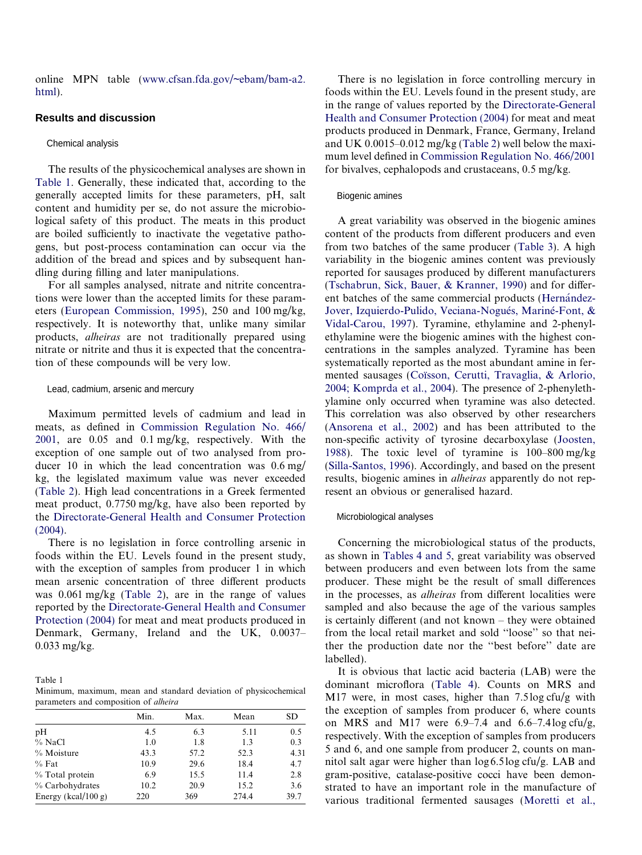online MPN table [\(www.cfsan.fda.gov/~ebam/bam-a2.](http://www.cfsan.fda.gov/~ebam/bam-a2.html) [html](http://www.cfsan.fda.gov/~ebam/bam-a2.html)).

# **Results and discussion**

## Chemical analysis

The results of the physicochemical analyses are shown in Table 1. Generally, these indicated that, according to the generally accepted limits for these parameters, pH, salt content and humidity per se, do not assure the microbiological safety of this product. The meats in this product are boiled sufficiently to inactivate the vegetative pathogens, but post-process contamination can occur via the addition of the bread and spices and by subsequent handling during filling and later manipulations.

For all samples analysed, nitrate and nitrite concentrations were lower than the accepted limits for these parameters [\(European Commission, 1995](#page-5-0)), 250 and 100 mg/kg, respectively. It is noteworthy that, unlike many similar products, alheiras are not traditionally prepared using nitrate or nitrite and thus it is expected that the concentration of these compounds will be very low.

#### Lead, cadmium, arsenic and mercury

Maximum permitted levels of cadmium and lead in meats, as defined in [Commission Regulation No. 466/](#page-5-0) [2001,](#page-5-0) are 0.05 and 0.1 mg/kg, respectively. With the exception of one sample out of two analysed from producer 10 in which the lead concentration was 0.6 mg/ kg, the legislated maximum value was never exceeded [\(Table 2\)](#page-3-0). High lead concentrations in a Greek fermented meat product, 0.7750 mg/kg, have also been reported by the [Directorate-General Health and Consumer Protection](#page-5-0) [\(2004\)](#page-5-0).

There is no legislation in force controlling arsenic in foods within the EU. Levels found in the present study, with the exception of samples from producer 1 in which mean arsenic concentration of three different products was 0.061 mg/kg ([Table 2\)](#page-3-0), are in the range of values reported by the [Directorate-General Health and Consumer](#page-5-0) [Protection \(2004\)](#page-5-0) for meat and meat products produced in Denmark, Germany, Ireland and the UK, 0.0037– 0.033 mg/kg.

Table 1

Minimum, maximum, mean and standard deviation of physicochemical parameters and composition of alheira

|                     | Min. | Max. | Mean  | SD   |
|---------------------|------|------|-------|------|
| pH                  | 4.5  | 6.3  | 5.11  | 0.5  |
| % NaCl              | 1.0  | 1.8  | 1.3   | 0.3  |
| % Moisture          | 43.3 | 57.2 | 52.3  | 4.31 |
| $%$ Fat             | 10.9 | 29.6 | 18.4  | 4.7  |
| % Total protein     | 6.9  | 15.5 | 11.4  | 2.8  |
| % Carbohydrates     | 10.2 | 20.9 | 15.2  | 3.6  |
| Energy (kcal/100 g) | 220  | 369  | 274.4 | 39.7 |

There is no legislation in force controlling mercury in foods within the EU. Levels found in the present study, are in the range of values reported by the [Directorate-General](#page-5-0) [Health and Consumer Protection \(2004\)](#page-5-0) for meat and meat products produced in Denmark, France, Germany, Ireland and UK 0.0015–0.012 mg/kg [\(Table 2\)](#page-3-0) well below the maximum level defined in [Commission Regulation No. 466/2001](#page-5-0) for bivalves, cephalopods and crustaceans, 0.5 mg/kg.

#### Biogenic amines

A great variability was observed in the biogenic amines content of the products from different producers and even from two batches of the same producer ([Table 3](#page-3-0)). A high variability in the biogenic amines content was previously reported for sausages produced by different manufacturers [\(Tschabrun, Sick, Bauer, & Kranner, 1990\)](#page-5-0) and for different batches of the same commercial products (Hernández-Jover, Izquierdo-Pulido, Veciana-Nogués, Mariné-Font, & [Vidal-Carou, 1997](#page-5-0)). Tyramine, ethylamine and 2-phenylethylamine were the biogenic amines with the highest concentrations in the samples analyzed. Tyramine has been systematically reported as the most abundant amine in fermented sausages (Coïsson, Cerutti, Travaglia, & Arlorio, [2004; Komprda et al., 2004](#page-5-0)). The presence of 2-phenylethylamine only occurred when tyramine was also detected. This correlation was also observed by other researchers [\(Ansorena et al., 2002\)](#page-5-0) and has been attributed to the non-specific activity of tyrosine decarboxylase ([Joosten,](#page-5-0) [1988\)](#page-5-0). The toxic level of tyramine is 100–800 mg/kg [\(Silla-Santos, 1996\)](#page-5-0). Accordingly, and based on the present results, biogenic amines in alheiras apparently do not represent an obvious or generalised hazard.

## Microbiological analyses

Concerning the microbiological status of the products, as shown in [Tables 4 and 5,](#page-3-0) great variability was observed between producers and even between lots from the same producer. These might be the result of small differences in the processes, as alheiras from different localities were sampled and also because the age of the various samples is certainly different (and not known – they were obtained from the local retail market and sold ''loose'' so that neither the production date nor the ''best before'' date are labelled).

It is obvious that lactic acid bacteria (LAB) were the dominant microflora ([Table 4\)](#page-3-0). Counts on MRS and M17 were, in most cases, higher than 7.5log cfu/g with the exception of samples from producer 6, where counts on MRS and M17 were  $6.9-7.4$  and  $6.6-7.4\log \frac{ctu}{g}$ , respectively. With the exception of samples from producers 5 and 6, and one sample from producer 2, counts on mannitol salt agar were higher than log 6.5log cfu/g. LAB and gram-positive, catalase-positive cocci have been demonstrated to have an important role in the manufacture of various traditional fermented sausages [\(Moretti et al.,](#page-5-0)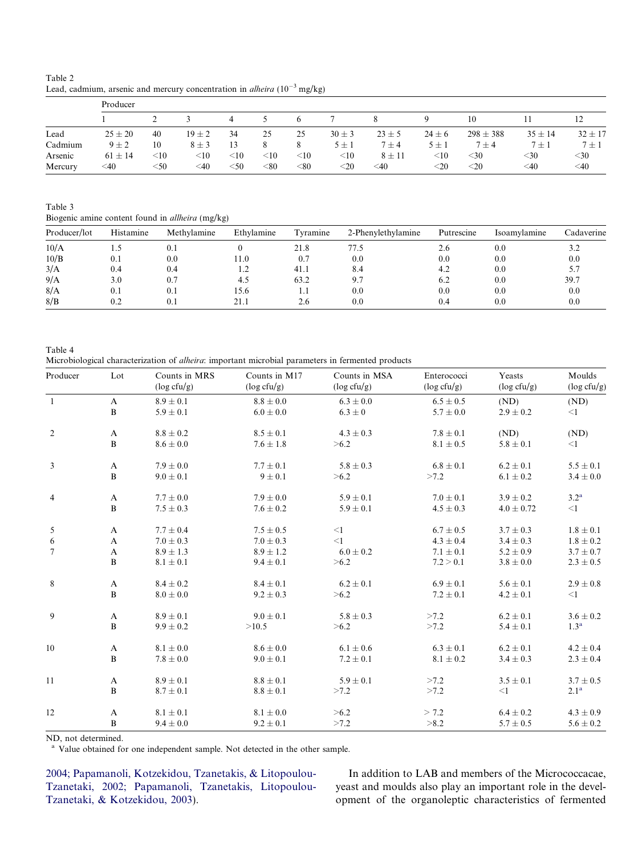<span id="page-3-0"></span>Table 2 Lead, cadmium, arsenic and mercury concentration in *alheira* ( $10^{-3}$  mg/kg)

|         | Producer    |             |            |        |            |            |            |            |            |               |             |             |
|---------|-------------|-------------|------------|--------|------------|------------|------------|------------|------------|---------------|-------------|-------------|
|         |             |             |            | 4      |            |            |            |            |            | 10            |             |             |
| Lead    | $25 \pm 20$ | 40          | $19 \pm 2$ | 34     | 25         | 25         | $30 \pm 3$ | $23 \pm 5$ | $24 \pm 6$ | $298 \pm 388$ | $35 \pm 14$ | $32 \pm 17$ |
| Cadmium | $9 \pm 2$   | 10          | $8 \pm 3$  | 13     |            | 8          | $5 \pm 1$  | $7 \pm 4$  | $5 \pm 1$  | $7 \pm 4$     | $7 \pm 1$   | $7 \pm 1$   |
| Arsenic | $61 \pm 14$ | $<$ 10      | $<$ 10     | $<$ 10 | $<$ 10     | $<$ 10     | $<$ 10     | $8 \pm 11$ | $<$ 10     | $<$ 30        | $<$ 30      | $<$ 30      |
| Mercury | $<$ 40      | $<$ 50 $\,$ | ≤40        | $<$ 50 | $< \!\!80$ | $< \!\!80$ | $<$ 20     | $<$ 40     | $<$ 20     | $<$ 20        | $<$ 40      | $<$ 40      |

Table 3

Biogenic amine content found in allheira (mg/kg)

| Producer/lot | Histamine | Methylamine | Ethylamine | Tyramine | 2-Phenylethylamine | Putrescine | Isoamylamine | Cadaverine |
|--------------|-----------|-------------|------------|----------|--------------------|------------|--------------|------------|
| 10/A         |           | 0.1         |            | 21.8     | 77.5               | 2.6        | 0.0          | 3.2        |
| 10/B         | 0.1       | 0.0         | 11.0       | 0.7      | 0.0                | 0.0        | 0.0          | 0.0        |
| 3/A          | 0.4       | 0.4         | 1.2        | 41.1     | 8.4                | 4.2        | 0.0          | 5.7        |
| 9/A          | 3.0       | 0.7         | 4.5        | 63.2     | 9.7                | 6.2        | 0.0          | 39.7       |
| 8/A          | 0.1       | 0.1         | 15.6       | 1.1      | 0.0                | 0.0        | 0.0          | 0.0        |
| 8/B          | 0.2       | $0.1\,$     | 21.1       | 2.6      | 0.0                | 0.4        | 0.0          | 0.0        |
|              |           |             |            |          |                    |            |              |            |

Table 4 Microbiological characterization of alheira: important microbial parameters in fermented products

| Producer       | Lot          | Counts in MRS<br>$(\log c f u/g)$ | Counts in M17<br>$(\log c f u/g)$ | Counts in MSA<br>$(\log c f u/g)$ | Enterococci<br>$(\log c f u/g)$ | Yeasts<br>$(\log c f u/g)$ | Moulds<br>$(\log c f u/g)$ |
|----------------|--------------|-----------------------------------|-----------------------------------|-----------------------------------|---------------------------------|----------------------------|----------------------------|
| $\mathbf{1}$   | $\mathbf{A}$ | $8.9 \pm 0.1$                     | $8.8 \pm 0.0$                     | $6.3 \pm 0.0$                     | $6.5 \pm 0.5$                   | (ND)                       | (ND)                       |
|                | $\bf{B}$     | $5.9 \pm 0.1$                     | $6.0 \pm 0.0$                     | $6.3 \pm 0$                       | $5.7 \pm 0.0$                   | $2.9 \pm 0.2$              | $\leq$ 1                   |
| 2              | A            | $8.8 \pm 0.2$                     | $8.5 \pm 0.1$                     | $4.3 \pm 0.3$                     | $7.8 \pm 0.1$                   | (ND)                       | (ND)                       |
|                | $\bf{B}$     | $8.6 \pm 0.0$                     | $7.6 \pm 1.8$                     | >6.2                              | $8.1 \pm 0.5$                   | $5.8 \pm 0.1$              | $\leq$ 1                   |
| 3              | A            | $7.9 \pm 0.0$                     | $7.7 \pm 0.1$                     | $5.8 \pm 0.3$                     | $6.8\pm0.1$                     | $6.2 \pm 0.1$              | $5.5 \pm 0.1$              |
|                | $\, {\bf B}$ | $9.0 \pm 0.1$                     | $9 \pm 0.1$                       | >6.2                              | >7.2                            | $6.1 \pm 0.2$              | $3.4 \pm 0.0$              |
| $\overline{4}$ | A            | $7.7 \pm 0.0$                     | $7.9 \pm 0.0$                     | $5.9 \pm 0.1$                     | $7.0 \pm 0.1$                   | $3.9 \pm 0.2$              | 3.2 <sup>a</sup>           |
|                | B            | $7.5 \pm 0.3$                     | $7.6 \pm 0.2$                     | $5.9 \pm 0.1$                     | $4.5 \pm 0.3$                   | $4.0 \pm 0.72$             | $\leq$ 1                   |
| 5              | A            | $7.7 \pm 0.4$                     | $7.5 \pm 0.5$                     | $\leq$ 1                          | $6.7 \pm 0.5$                   | $3.7 \pm 0.3$              | $1.8 \pm 0.1$              |
| 6              | $\mathbf{A}$ | $7.0 \pm 0.3$                     | $7.0 \pm 0.3$                     | $\leq$ 1                          | $4.3 \pm 0.4$                   | $3.4 \pm 0.3$              | $1.8 \pm 0.2$              |
| $\overline{7}$ | $\mathbf{A}$ | $8.9 \pm 1.3$                     | $8.9 \pm 1.2$                     | $6.0 \pm 0.2$                     | $7.1 \pm 0.1$                   | $5.2 \pm 0.9$              | $3.7 \pm 0.7$              |
|                | B            | $8.1 \pm 0.1$                     | $9.4 \pm 0.1$                     | >6.2                              | 7.2 > 0.1                       | $3.8 \pm 0.0$              | $2.3\pm0.5$                |
| 8              | A            | $8.4 \pm 0.2$                     | $8.4 \pm 0.1$                     | $6.2 \pm 0.1$                     | $6.9 \pm 0.1$                   | $5.6 \pm 0.1$              | $2.9 \pm 0.8$              |
|                | $\mathbf{B}$ | $8.0 \pm 0.0$                     | $9.2 \pm 0.3$                     | >6.2                              | $7.2 \pm 0.1$                   | $4.2 \pm 0.1$              | $\leq$ 1                   |
| 9              | A            | $8.9 \pm 0.1$                     | $9.0 \pm 0.1$                     | $5.8 \pm 0.3$                     | >7.2                            | $6.2 \pm 0.1$              | $3.6 \pm 0.2$              |
|                | $\bf{B}$     | $9.9 \pm 0.2$                     | >10.5                             | >6.2                              | >7.2                            | $5.4 \pm 0.1$              | 1.3 <sup>a</sup>           |
| 10             | A            | $8.1 \pm 0.0$                     | $8.6 \pm 0.0$                     | $6.1 \pm 0.6$                     | $6.3 \pm 0.1$                   | $6.2 \pm 0.1$              | $4.2 \pm 0.4$              |
|                | $\, {\bf B}$ | $7.8 \pm 0.0$                     | $9.0 \pm 0.1$                     | $7.2 \pm 0.1$                     | $8.1 \pm 0.2$                   | $3.4 \pm 0.3$              | $2.3 \pm 0.4$              |
| 11             | A            | $8.9 \pm 0.1$                     | $8.8\pm0.1$                       | $5.9 \pm 0.1$                     | >7.2                            | $3.5 \pm 0.1$              | $3.7 \pm 0.5$              |
|                | $\bf{B}$     | $8.7 \pm 0.1$                     | $8.8 \pm 0.1$                     | >7.2                              | >7.2                            | <1                         | 2.1 <sup>a</sup>           |
| 12             | A            | $8.1 \pm 0.1$                     | $8.1 \pm 0.0$                     | >6.2                              | > 7.2                           | $6.4 \pm 0.2$              | $4.3 \pm 0.9$              |
|                | B            | $9.4 \pm 0.0$                     | $9.2 \pm 0.1$                     | >7.2                              | >8.2                            | $5.7 \pm 0.5$              | $5.6 \pm 0.2$              |

ND, not determined.

<sup>a</sup> Value obtained for one independent sample. Not detected in the other sample.

[2004; Papamanoli, Kotzekidou, Tzanetakis, & Litopoulou-](#page-5-0)[Tzanetaki, 2002; Papamanoli, Tzanetakis, Litopoulou-](#page-5-0)[Tzanetaki, & Kotzekidou, 2003\)](#page-5-0).

In addition to LAB and members of the Micrococcacae, yeast and moulds also play an important role in the development of the organoleptic characteristics of fermented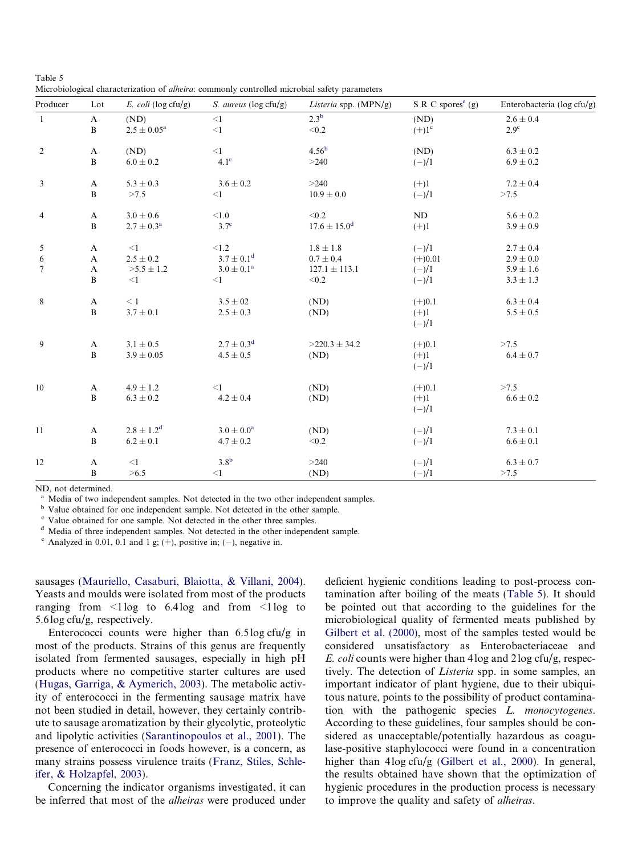Table 5 Microbiological characterization of alheira: commonly controlled microbial safety parameters

| Producer        | Lot          | E. coli ( $log c f u/g$ ) | S. aureus (log cfu/g) | <i>Listeria</i> spp. $(MPN/g)$ | $S \, R \, C \,$ spores <sup>e</sup> (g) | Enterobacteria (log cfu/g) |
|-----------------|--------------|---------------------------|-----------------------|--------------------------------|------------------------------------------|----------------------------|
| $\mathbf{1}$    | $\mathbf{A}$ | (ND)                      | $\leq$ 1              | 2.3 <sup>b</sup>               | (ND)                                     | $2.6 \pm 0.4$              |
|                 | $\, {\bf B}$ | $2.5\pm0.05^{\rm a}$      | $<\!\!1$              | $<0.2$                         | $(+)1^{\circ}$                           | 2.9 <sup>c</sup>           |
| $\overline{2}$  | $\mathbf{A}$ | (ND)                      | $\leq$ 1              | 4.56 <sup>b</sup>              | (ND)                                     | $6.3 \pm 0.2$              |
|                 | $\, {\bf B}$ | $6.0\pm0.2$               | 4.1 <sup>c</sup>      | >240                           | $(-)/1$                                  | $6.9 \pm 0.2$              |
| 3               | $\mathbf{A}$ | $5.3\pm0.3$               | $3.6 \pm 0.2$         | >240                           | $(+)1$                                   | $7.2 \pm 0.4$              |
|                 | $\bf{B}$     | >7.5                      | $<$ 1                 | $10.9\pm0.0$                   | $(-)/1$                                  | >7.5                       |
| $\overline{4}$  | $\mathbf{A}$ | $3.0 \pm 0.6$             | $<1.0\,$              | < 0.2                          | ND                                       | $5.6 \pm 0.2$              |
|                 | $\bf{B}$     | $2.7\pm0.3^{\rm a}$       | 3.7 <sup>c</sup>      | $17.6\pm15.0^{\rm d}$          | $(+)1$                                   | $3.9 \pm 0.9$              |
| 5               | $\mathbf{A}$ | $\leq$ 1                  | < 1.2                 | $1.8 \pm 1.8$                  | $(-)/1$                                  | $2.7 \pm 0.4$              |
| 6               | $\mathbf{A}$ | $2.5 \pm 0.2$             | $3.7 \pm 0.1^d$       | $0.7\pm0.4$                    | $(+)0.01$                                | $2.9\pm0.0$                |
| $7\phantom{.0}$ | $\mathbf{A}$ | $>5.5 \pm 1.2$            | $3.0\pm0.1^{\rm a}$   | $127.1 \pm 113.1$              | $(-)/1$                                  | $5.9 \pm 1.6$              |
|                 | $\bf{B}$     | $\leq$ 1                  | $<$ 1                 | < 0.2                          | $(-)/1$                                  | $3.3 \pm 1.3$              |
| $\,$ 8 $\,$     | $\mathbf{A}$ | $\leq 1$                  | $3.5\pm02$            | (ND)                           | $(+)0.1$                                 | $6.3 \pm 0.4$              |
|                 | $\, {\bf B}$ | $3.7\pm0.1$               | $2.5\pm0.3$           | (ND)                           | $(+)1$<br>$(-)/1$                        | $5.5 \pm 0.5$              |
| $\overline{9}$  | $\mathbf{A}$ | $3.1 \pm 0.5$             | $2.7\pm0.3^{\rm d}$   | $>220.3 \pm 34.2$              | $(+)0.1$                                 | >7.5                       |
|                 | $\, {\bf B}$ | $3.9\pm0.05$              | $4.5 \pm 0.5$         | (ND)                           | $(+)1$<br>$(-)/1$                        | $6.4 \pm 0.7$              |
| 10              | $\mathbf{A}$ | $4.9 \pm 1.2$             | $<$ 1                 | (ND)                           | $(+)0.1$                                 | >7.5                       |
|                 | $\bf{B}$     | $6.3 \pm 0.2$             | $4.2\pm0.4$           | (ND)                           | $(+)1$                                   | $6.6\pm0.2$                |
|                 |              |                           |                       |                                | $(-)/1$                                  |                            |
| 11              | $\mathbf{A}$ | $2.8 \pm 1.2^d$           | $3.0\pm0.0^{\rm a}$   | (ND)                           | $(-)/1$                                  | $7.3\pm0.1$                |
|                 | $\, {\bf B}$ | $6.2\pm0.1$               | $4.7 \pm 0.2$         | < 0.2                          | $(-)/1$                                  | $6.6 \pm 0.1$              |
| 12              | $\mathbf{A}$ | $\leq$ 1                  | 3.8 <sup>b</sup>      | >240                           | $(-)/1$                                  | $6.3 \pm 0.7$              |
|                 | B            | >6.5                      | $<$ 1                 | (ND)                           | $(-)/1$                                  | >7.5                       |

ND, not determined.

<sup>a</sup> Media of two independent samples. Not detected in the two other independent samples.

<sup>b</sup> Value obtained for one independent sample. Not detected in the other sample.

<sup>c</sup> Value obtained for one sample. Not detected in the other three samples.

<sup>d</sup> Media of three independent samples. Not detected in the other independent sample.

 $^e$  Analyzed in 0.01, 0.1 and 1 g; (+), positive in; (-), negative in.

sausages [\(Mauriello, Casaburi, Blaiotta, & Villani, 2004\)](#page-5-0). Yeasts and moulds were isolated from most of the products ranging from  $\leq$ 1log to 6.4log and from  $\leq$ 1log to 5.6log cfu/g, respectively.

Enterococci counts were higher than 6.5log cfu/g in most of the products. Strains of this genus are frequently isolated from fermented sausages, especially in high pH products where no competitive starter cultures are used [\(Hugas, Garriga, & Aymerich, 2003\)](#page-5-0). The metabolic activity of enterococci in the fermenting sausage matrix have not been studied in detail, however, they certainly contribute to sausage aromatization by their glycolytic, proteolytic and lipolytic activities [\(Sarantinopoulos et al., 2001](#page-5-0)). The presence of enterococci in foods however, is a concern, as many strains possess virulence traits [\(Franz, Stiles, Schle](#page-5-0)[ifer, & Holzapfel, 2003\)](#page-5-0).

Concerning the indicator organisms investigated, it can be inferred that most of the alheiras were produced under deficient hygienic conditions leading to post-process contamination after boiling of the meats (Table 5). It should be pointed out that according to the guidelines for the microbiological quality of fermented meats published by [Gilbert et al. \(2000\),](#page-5-0) most of the samples tested would be considered unsatisfactory as Enterobacteriaceae and E. coli counts were higher than 4log and 2log cfu/g, respectively. The detection of Listeria spp. in some samples, an important indicator of plant hygiene, due to their ubiquitous nature, points to the possibility of product contamination with the pathogenic species L. monocytogenes. According to these guidelines, four samples should be considered as unacceptable/potentially hazardous as coagulase-positive staphylococci were found in a concentration higher than 4log cfu/g [\(Gilbert et al., 2000\)](#page-5-0). In general, the results obtained have shown that the optimization of hygienic procedures in the production process is necessary to improve the quality and safety of alheiras.